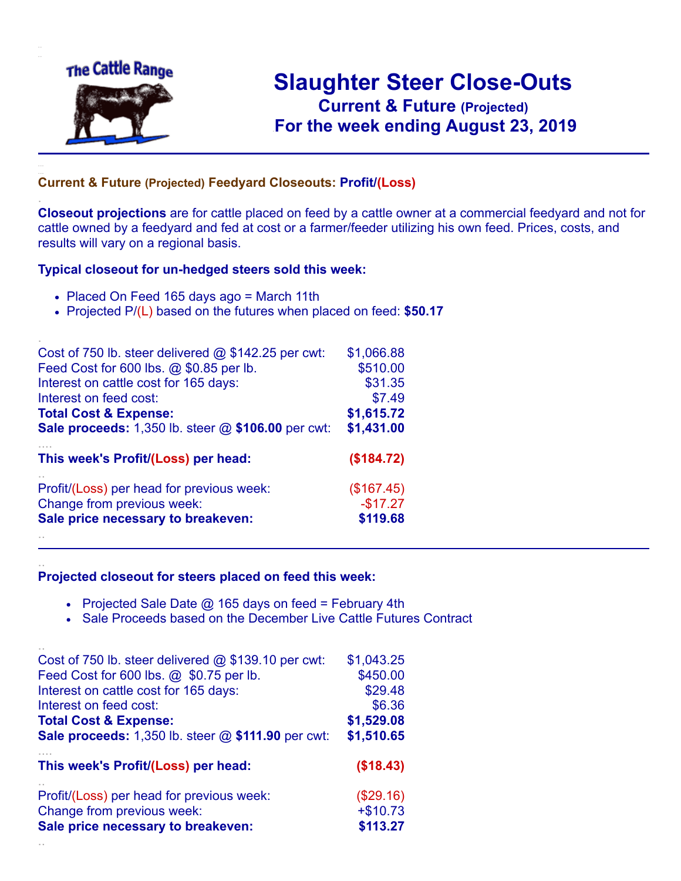

.

..

# **Slaughter Steer Close-Outs Current & Future (Projected)** .**For the week ending August 23, 2019**

#### **Current & Future (Projected) Feedyard Closeouts: Profit/(Loss)**

**Closeout projections** are for cattle placed on feed by a cattle owner at a commercial feedyard and not for cattle owned by a feedyard and fed at cost or a farmer/feeder utilizing his own feed. Prices, costs, and results will vary on a regional basis.

#### **Typical closeout for un-hedged steers sold this week:**

- Placed On Feed 165 days ago = March 11th
- Projected P/(L) based on the futures when placed on feed: **\$50.17**

| Cost of 750 lb. steer delivered $@$ \$142.25 per cwt: | \$1,066.88 |
|-------------------------------------------------------|------------|
| Feed Cost for 600 lbs. @ \$0.85 per lb.               | \$510.00   |
| Interest on cattle cost for 165 days:                 | \$31.35    |
| Interest on feed cost:                                | \$7.49     |
| <b>Total Cost &amp; Expense:</b>                      | \$1,615.72 |
| Sale proceeds: 1,350 lb. steer @ \$106.00 per cwt:    | \$1,431.00 |
| This week's Profit/(Loss) per head:                   | (\$184.72) |
| Profit/(Loss) per head for previous week:             | (\$167.45) |
| Change from previous week:                            | $-$17.27$  |
| Sale price necessary to breakeven:                    | \$119.68   |
|                                                       |            |

#### **Projected closeout for steers placed on feed this week:**

- Projected Sale Date  $@$  165 days on feed = February 4th
- Sale Proceeds based on the December Live Cattle Futures Contract

| Cost of 750 lb. steer delivered $@$ \$139.10 per cwt:       | \$1,043.25 |
|-------------------------------------------------------------|------------|
| Feed Cost for 600 lbs. @ \$0.75 per lb.                     | \$450.00   |
| Interest on cattle cost for 165 days:                       | \$29.48    |
| Interest on feed cost:                                      | \$6.36     |
| <b>Total Cost &amp; Expense:</b>                            | \$1,529.08 |
| <b>Sale proceeds:</b> 1,350 lb. steer $@$ \$111.90 per cwt: | \$1,510.65 |
|                                                             |            |
| This week's Profit/(Loss) per head:                         | (\$18.43)  |
| Profit/(Loss) per head for previous week:                   | (\$29.16)  |
| Change from previous week:                                  | $+ $10.73$ |
| Sale price necessary to breakeven:                          | \$113.27   |